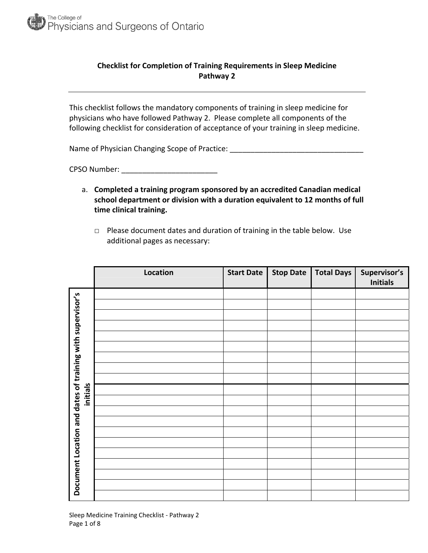

# **Checklist for Completion of Training Requirements in Sleep Medicine Pathway 2**

This checklist follows the mandatory components of training in sleep medicine for physicians who have followed Pathway 2. Please complete all components of the following checklist for consideration of acceptance of your training in sleep medicine.

Name of Physician Changing Scope of Practice: \_\_\_\_\_\_\_\_\_\_\_\_\_\_\_\_\_\_\_\_\_\_\_\_\_\_\_\_\_\_\_\_\_\_

CPSO Number: \_\_\_\_\_\_\_\_\_\_\_\_\_\_\_\_\_\_\_\_\_\_\_

- a. **Completed a training program sponsored by an accredited Canadian medical school department or division with a duration equivalent to 12 months of full time clinical training.**
	- □ Please document dates and duration of training in the table below. Use additional pages as necessary:

|                                                                       | Location | <b>Start Date</b> | <b>Stop Date</b> | <b>Total Days</b> | Supervisor's<br><b>Initials</b> |
|-----------------------------------------------------------------------|----------|-------------------|------------------|-------------------|---------------------------------|
| Document Location and dates of training with supervisor's<br>initials |          |                   |                  |                   |                                 |
|                                                                       |          |                   |                  |                   |                                 |
|                                                                       |          |                   |                  |                   |                                 |
|                                                                       |          |                   |                  |                   |                                 |
|                                                                       |          |                   |                  |                   |                                 |
|                                                                       |          |                   |                  |                   |                                 |
|                                                                       |          |                   |                  |                   |                                 |
|                                                                       |          |                   |                  |                   |                                 |
|                                                                       |          |                   |                  |                   |                                 |
|                                                                       |          |                   |                  |                   |                                 |
|                                                                       |          |                   |                  |                   |                                 |
|                                                                       |          |                   |                  |                   |                                 |
|                                                                       |          |                   |                  |                   |                                 |
|                                                                       |          |                   |                  |                   |                                 |
|                                                                       |          |                   |                  |                   |                                 |
|                                                                       |          |                   |                  |                   |                                 |
|                                                                       |          |                   |                  |                   |                                 |
|                                                                       |          |                   |                  |                   |                                 |
|                                                                       |          |                   |                  |                   |                                 |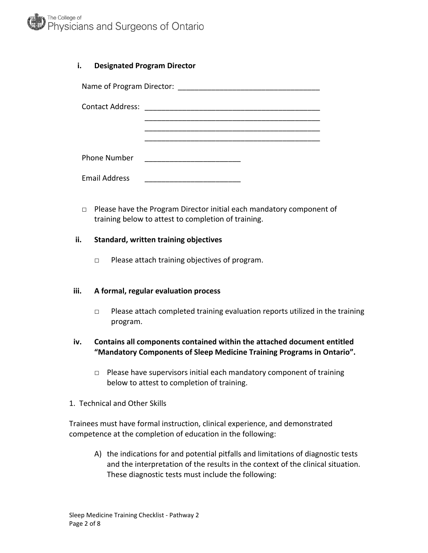

### **i. Designated Program Director**

| <b>Contact Address:</b> |  |  |  |  |  |  |
|-------------------------|--|--|--|--|--|--|
|                         |  |  |  |  |  |  |
|                         |  |  |  |  |  |  |
| <b>Phone Number</b>     |  |  |  |  |  |  |
| <b>Email Address</b>    |  |  |  |  |  |  |

□ Please have the Program Director initial each mandatory component of training below to attest to completion of training.

#### **ii. Standard, written training objectives**

□ Please attach training objectives of program.

### **iii. A formal, regular evaluation process**

 $\Box$  Please attach completed training evaluation reports utilized in the training program.

## **iv. Contains all components contained within the attached document entitled "Mandatory Components of Sleep Medicine Training Programs in Ontario".**

- □ Please have supervisors initial each mandatory component of training below to attest to completion of training.
- 1. Technical and Other Skills

Trainees must have formal instruction, clinical experience, and demonstrated competence at the completion of education in the following:

A) the indications for and potential pitfalls and limitations of diagnostic tests and the interpretation of the results in the context of the clinical situation. These diagnostic tests must include the following: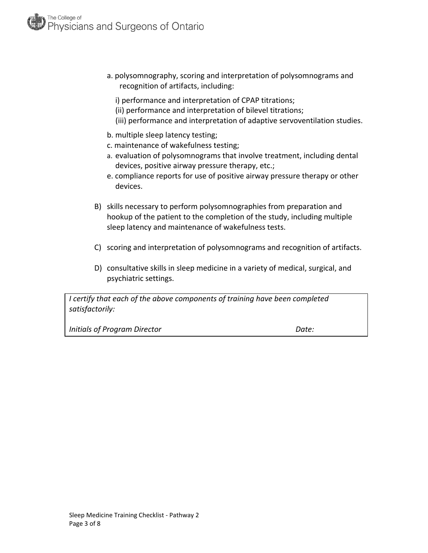- a. polysomnography, scoring and interpretation of polysomnograms and recognition of artifacts, including:
	- i) performance and interpretation of CPAP titrations;
	- (ii) performance and interpretation of bilevel titrations;
	- (iii) performance and interpretation of adaptive servoventilation studies.
- b. multiple sleep latency testing;
- c. maintenance of wakefulness testing;
- a. evaluation of polysomnograms that involve treatment, including dental devices, positive airway pressure therapy, etc.;
- e. compliance reports for use of positive airway pressure therapy or other devices.
- B) skills necessary to perform polysomnographies from preparation and hookup of the patient to the completion of the study, including multiple sleep latency and maintenance of wakefulness tests.
- C) scoring and interpretation of polysomnograms and recognition of artifacts.
- D) consultative skills in sleep medicine in a variety of medical, surgical, and psychiatric settings.

*I certify that each of the above components of training have been completed satisfactorily:*

*Initials of Program Director Date:*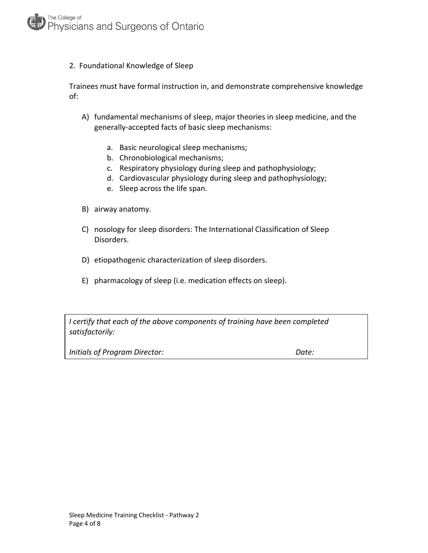

#### 2. Foundational Knowledge of Sleep

Trainees must have formal instruction in, and demonstrate comprehensive knowledge of:

- A) fundamental mechanisms of sleep, major theories in sleep medicine, and the generally‐accepted facts of basic sleep mechanisms:
	- a. Basic neurological sleep mechanisms;
	- b. Chronobiological mechanisms;
	- c. Respiratory physiology during sleep and pathophysiology;
	- d. Cardiovascular physiology during sleep and pathophysiology;
	- e. Sleep across the life span.
- B) airway anatomy.
- C) nosology for sleep disorders: The International Classification of Sleep Disorders.
- D) etiopathogenic characterization of sleep disorders.
- E) pharmacology of sleep (i.e. medication effects on sleep).

*I certify that each of the above components of training have been completed satisfactorily:*

*Initials of Program Director: Date:*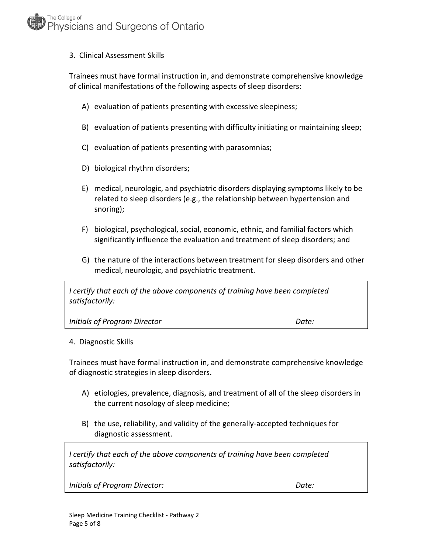## 3. Clinical Assessment Skills

Trainees must have formal instruction in, and demonstrate comprehensive knowledge of clinical manifestations of the following aspects of sleep disorders:

- A) evaluation of patients presenting with excessive sleepiness;
- B) evaluation of patients presenting with difficulty initiating or maintaining sleep;
- C) evaluation of patients presenting with parasomnias;
- D) biological rhythm disorders;
- E) medical, neurologic, and psychiatric disorders displaying symptoms likely to be related to sleep disorders (e.g., the relationship between hypertension and snoring);
- F) biological, psychological, social, economic, ethnic, and familial factors which significantly influence the evaluation and treatment of sleep disorders; and
- G) the nature of the interactions between treatment for sleep disorders and other medical, neurologic, and psychiatric treatment.

*I certify that each of the above components of training have been completed satisfactorily:*

*Initials of Program Director Date:*

4. Diagnostic Skills

Trainees must have formal instruction in, and demonstrate comprehensive knowledge of diagnostic strategies in sleep disorders.

- A) etiologies, prevalence, diagnosis, and treatment of all of the sleep disorders in the current nosology of sleep medicine;
- B) the use, reliability, and validity of the generally‐accepted techniques for diagnostic assessment.

*I certify that each of the above components of training have been completed satisfactorily:*

*Initials of Program Director: Date:*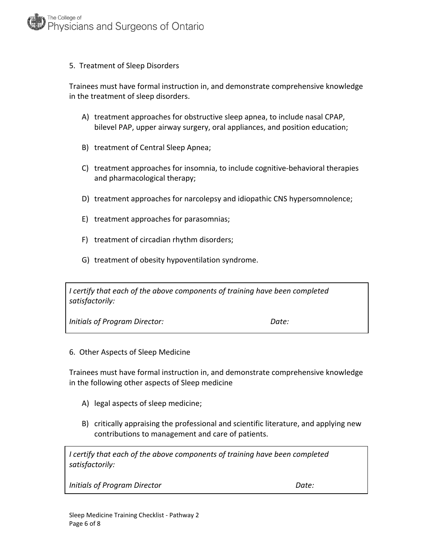#### 5. Treatment of Sleep Disorders

Trainees must have formal instruction in, and demonstrate comprehensive knowledge in the treatment of sleep disorders.

- A) treatment approaches for obstructive sleep apnea, to include nasal CPAP, bilevel PAP, upper airway surgery, oral appliances, and position education;
- B) treatment of Central Sleep Apnea;
- C) treatment approaches for insomnia, to include cognitive‐behavioral therapies and pharmacological therapy;
- D) treatment approaches for narcolepsy and idiopathic CNS hypersomnolence;
- E) treatment approaches for parasomnias;
- F) treatment of circadian rhythm disorders;
- G) treatment of obesity hypoventilation syndrome.

*I certify that each of the above components of training have been completed satisfactorily:*

*Initials of Program Director: Date:*

6. Other Aspects of Sleep Medicine

Trainees must have formal instruction in, and demonstrate comprehensive knowledge in the following other aspects of Sleep medicine

- A) legal aspects of sleep medicine;
- B) critically appraising the professional and scientific literature, and applying new contributions to management and care of patients.

*I certify that each of the above components of training have been completed satisfactorily:*

*Initials of Program Director Date:*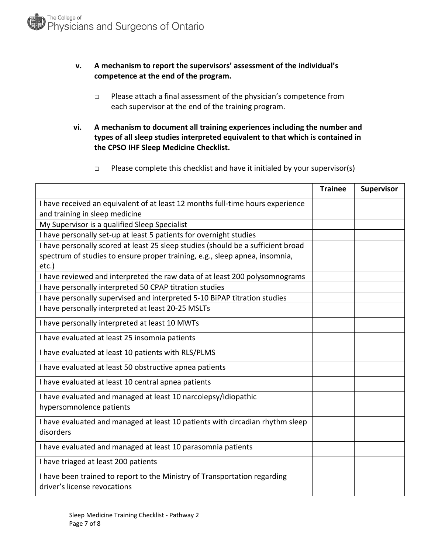## **v. A mechanism to report the supervisors' assessment of the individual's competence at the end of the program.**

- □ Please attach a final assessment of the physician's competence from each supervisor at the end of the training program.
- **vi. A mechanism to document all training experiences including the number and types of all sleep studies interpreted equivalent to that which is contained in the CPSO IHF Sleep Medicine Checklist.** 
	- $\Box$  Please complete this checklist and have it initialed by your supervisor(s)

|                                                                                                           | <b>Trainee</b> | Supervisor |
|-----------------------------------------------------------------------------------------------------------|----------------|------------|
| I have received an equivalent of at least 12 months full-time hours experience                            |                |            |
| and training in sleep medicine                                                                            |                |            |
| My Supervisor is a qualified Sleep Specialist                                                             |                |            |
| I have personally set-up at least 5 patients for overnight studies                                        |                |            |
| I have personally scored at least 25 sleep studies (should be a sufficient broad                          |                |            |
| spectrum of studies to ensure proper training, e.g., sleep apnea, insomnia,                               |                |            |
| etc.)                                                                                                     |                |            |
| I have reviewed and interpreted the raw data of at least 200 polysomnograms                               |                |            |
| I have personally interpreted 50 CPAP titration studies                                                   |                |            |
| I have personally supervised and interpreted 5-10 BiPAP titration studies                                 |                |            |
| I have personally interpreted at least 20-25 MSLTs                                                        |                |            |
| I have personally interpreted at least 10 MWTs                                                            |                |            |
| I have evaluated at least 25 insomnia patients                                                            |                |            |
| I have evaluated at least 10 patients with RLS/PLMS                                                       |                |            |
| I have evaluated at least 50 obstructive apnea patients                                                   |                |            |
| I have evaluated at least 10 central apnea patients                                                       |                |            |
| I have evaluated and managed at least 10 narcolepsy/idiopathic<br>hypersomnolence patients                |                |            |
| I have evaluated and managed at least 10 patients with circadian rhythm sleep<br>disorders                |                |            |
| I have evaluated and managed at least 10 parasomnia patients                                              |                |            |
| I have triaged at least 200 patients                                                                      |                |            |
| I have been trained to report to the Ministry of Transportation regarding<br>driver's license revocations |                |            |